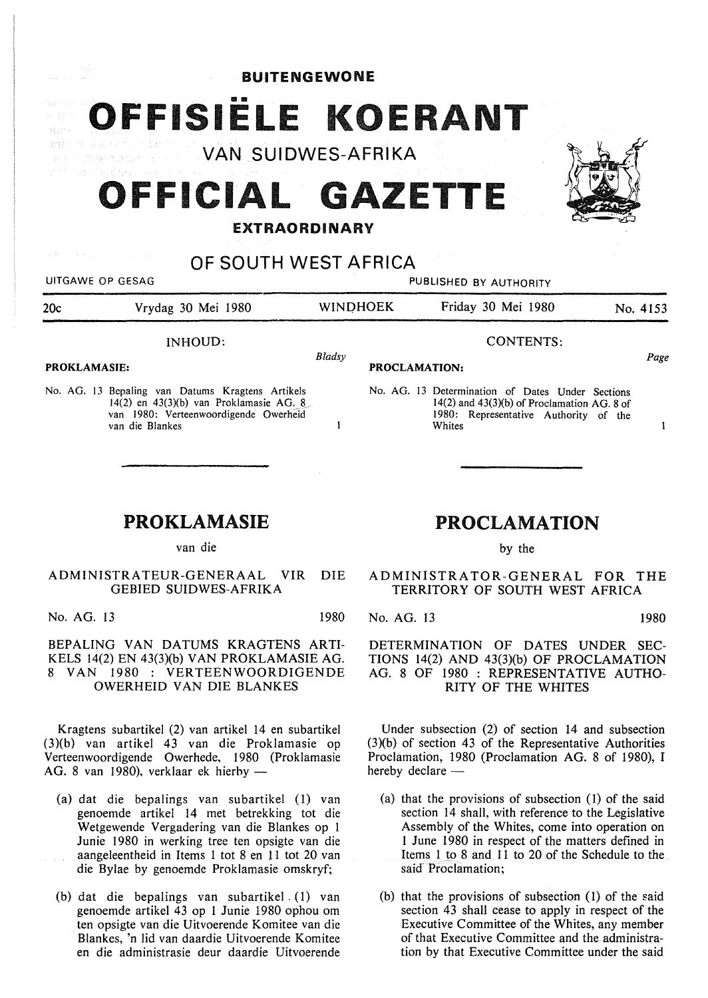BUITENGEWONE

OFFISIËLE KOERANT  $\eta \not\geq \frac{1}{2}$ 

VAN SUIDWES-AFRIKA

# **OFFICIAL GAZETTE**

#### **EXTRAORDINARY**

## OF SOUTH WEST AFRICA

UITGAWE OP GESAG **PUBLISHED BY AUTHORITY** 

Whites

| 20c                 | Vrydag 30 Mei 1980                               | <b>WINDHOEK</b> |                      | Friday 30 Mei 1980                               | No. 4153 |
|---------------------|--------------------------------------------------|-----------------|----------------------|--------------------------------------------------|----------|
| INHOUD:             |                                                  |                 | CONTENTS:            |                                                  |          |
| <b>PROKLAMASIE:</b> |                                                  | Bladsy          | <b>PROCLAMATION:</b> |                                                  |          |
|                     | No. AG. 13 Bepaling van Datums Kragtens Artikels |                 |                      | No. AG. 13 Determination of Dates Under Sections |          |

 $\mathbf{1}$ 

No. AG. 13 Bcpaling van Datums Kragtens Artikels 14(2) en 43(3)(b) van Proklamasie AG.  $8$ van 1980: Verteenwoordigende Owerheid van die Blankes

## PROKLAMASIE

van die

ADMINISTRATEUR-GENERAAL VIR DIE GEBIED SUIDWES-AFRIKA

No. AG. 13 1980

**BEPALING VAN DATUMS KRAGTENS ARTI-**KELS 14(2) EN 43(3)(b) **VAN PROKLAMASIE AG.**  8 VAN 1980 : **VERTEENWOORDIGENDE OWERHEID VAN DIE BLANKES** 

Kragtens subartikel (2) van artikel 14 en subartikel (3)(b) van artikel 43 van die Proklamasie op Verteenwoordigende Owerhede, 1980 (Proklamasie **AG.** 8 van 1980), verklaar ek hierhy -

- (a) dat die bepalings van subartikel (1) van genoemde artikel 14 met betrekking tot die Wetgewende Vergadering van die Blankes op 1 Junie 1980 in werking tree ten opsigte van die aangeleentheid in Items 1 tot 8 en 11 tot 20 van die Bylae by genoemde Proklamasie omskryf;
- (b) dat die bepalings van subartikel. (1) van genoemde artikel 43 op 1 Junie 1980 ophou om ten opsigte van die Uitvoerende Komitee van die Blankes, 'n lid van daardie Uitvoerende Komitee en die administrasie deur daardie Uitvoerende

## **PROCLAMATION**

 $14(2)$  and  $43(3)(b)$  of Proclamation AG. 8 of 1980: Representative Authority of the

by the

ADMINISTRATOR-GENERAL FOR THE TERRITORY OF SOUTH WEST AFRICA

No. AG. 13 1980

 $\mathbf{1}$ 

DETERMINATION OF DATES UNDER SEC-TIONS 14(2) AND 43(3)(b) OF PROCLAMATION AG. 8 OF 1980 : REPRESENTATIVE AUTHO-RITY OF THE WHITES

Under subsection (2) of section 14 and subsection (3Xb) of section 43 of the Representative Authorities Proclamation, 1980 (Proclamation AG. 8 of 1980), I hereby declare -

- (a) that the provisions of subsection (1) of the said section 14 shall, with reference to the Legislative Assembly of the Whites, come into operation on 1 June 1980 in respect of the matters defined in Items 1 to 8 and 11 to 20 of the Schedule to the said Proclamation;
- (b) that the provisions of subsection (l) of the said section 43 shall cease to apply in respect of the Executive Committee of the Whites, any member of that Executive Committee and the administration by that Executive Committee under the said